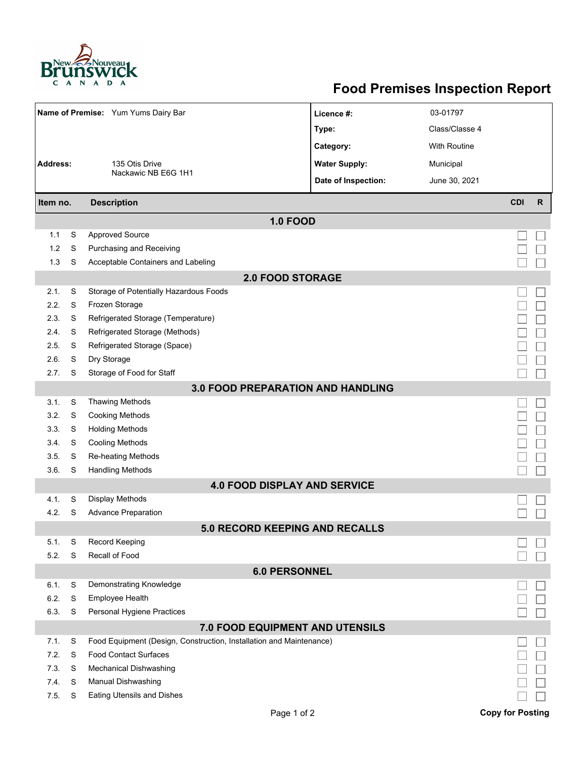

## **Food Premises Inspection Report**

| Name of Premise: Yum Yums Dairy Bar      |   |                                                                     | Licence #:           | 03-01797            |                         |              |  |  |  |  |
|------------------------------------------|---|---------------------------------------------------------------------|----------------------|---------------------|-------------------------|--------------|--|--|--|--|
|                                          |   |                                                                     | Type:                | Class/Classe 4      |                         |              |  |  |  |  |
|                                          |   |                                                                     | Category:            | <b>With Routine</b> |                         |              |  |  |  |  |
| <b>Address:</b>                          |   | 135 Otis Drive                                                      | <b>Water Supply:</b> | Municipal           |                         |              |  |  |  |  |
|                                          |   | Nackawic NB E6G 1H1                                                 | Date of Inspection:  | June 30, 2021       |                         |              |  |  |  |  |
| Item no.                                 |   | <b>Description</b>                                                  |                      |                     | <b>CDI</b>              | $\mathsf{R}$ |  |  |  |  |
| <b>1.0 FOOD</b>                          |   |                                                                     |                      |                     |                         |              |  |  |  |  |
| 1.1                                      | S | <b>Approved Source</b>                                              |                      |                     |                         |              |  |  |  |  |
| 1.2                                      | S | Purchasing and Receiving                                            |                      |                     |                         |              |  |  |  |  |
| 1.3                                      | S | Acceptable Containers and Labeling                                  |                      |                     |                         |              |  |  |  |  |
| <b>2.0 FOOD STORAGE</b>                  |   |                                                                     |                      |                     |                         |              |  |  |  |  |
| 2.1.                                     | S | Storage of Potentially Hazardous Foods                              |                      |                     |                         |              |  |  |  |  |
| 2.2.                                     | S | Frozen Storage                                                      |                      |                     |                         |              |  |  |  |  |
| 2.3.                                     | S | Refrigerated Storage (Temperature)                                  |                      |                     |                         |              |  |  |  |  |
| 2.4.                                     | S | Refrigerated Storage (Methods)                                      |                      |                     |                         |              |  |  |  |  |
| 2.5.                                     | S | Refrigerated Storage (Space)                                        |                      |                     |                         |              |  |  |  |  |
| 2.6.                                     | S | Dry Storage                                                         |                      |                     |                         |              |  |  |  |  |
| 2.7.                                     | S | Storage of Food for Staff                                           |                      |                     |                         |              |  |  |  |  |
| <b>3.0 FOOD PREPARATION AND HANDLING</b> |   |                                                                     |                      |                     |                         |              |  |  |  |  |
| 3.1.                                     | S | <b>Thawing Methods</b>                                              |                      |                     |                         |              |  |  |  |  |
| 3.2.                                     | S | <b>Cooking Methods</b>                                              |                      |                     |                         |              |  |  |  |  |
| 3.3.                                     | S | <b>Holding Methods</b>                                              |                      |                     |                         |              |  |  |  |  |
| 3.4.                                     | S | <b>Cooling Methods</b>                                              |                      |                     |                         |              |  |  |  |  |
| 3.5.                                     | S | Re-heating Methods                                                  |                      |                     |                         |              |  |  |  |  |
| 3.6.                                     | S | <b>Handling Methods</b>                                             |                      |                     |                         |              |  |  |  |  |
|                                          |   | <b>4.0 FOOD DISPLAY AND SERVICE</b>                                 |                      |                     |                         |              |  |  |  |  |
| 4.1.                                     | S | <b>Display Methods</b>                                              |                      |                     |                         |              |  |  |  |  |
| 4.2.                                     | S | <b>Advance Preparation</b>                                          |                      |                     |                         |              |  |  |  |  |
|                                          |   | <b>5.0 RECORD KEEPING AND RECALLS</b>                               |                      |                     |                         |              |  |  |  |  |
| 5.1.                                     | S | Record Keeping                                                      |                      |                     |                         |              |  |  |  |  |
| 5.2.                                     | S | Recall of Food                                                      |                      |                     |                         |              |  |  |  |  |
| <b>6.0 PERSONNEL</b>                     |   |                                                                     |                      |                     |                         |              |  |  |  |  |
| 6.1.                                     | S | Demonstrating Knowledge                                             |                      |                     |                         |              |  |  |  |  |
| 6.2.                                     | S | <b>Employee Health</b>                                              |                      |                     |                         |              |  |  |  |  |
| 6.3.                                     | S | Personal Hygiene Practices                                          |                      |                     |                         |              |  |  |  |  |
| 7.0 FOOD EQUIPMENT AND UTENSILS          |   |                                                                     |                      |                     |                         |              |  |  |  |  |
| 7.1.                                     | S | Food Equipment (Design, Construction, Installation and Maintenance) |                      |                     |                         |              |  |  |  |  |
| 7.2.                                     | S | <b>Food Contact Surfaces</b>                                        |                      |                     |                         |              |  |  |  |  |
| 7.3.                                     | S | <b>Mechanical Dishwashing</b>                                       |                      |                     |                         |              |  |  |  |  |
| 7.4.                                     | S | Manual Dishwashing                                                  |                      |                     |                         |              |  |  |  |  |
| 7.5.                                     | S | <b>Eating Utensils and Dishes</b>                                   |                      |                     |                         |              |  |  |  |  |
|                                          |   | Page 1 of 2                                                         |                      |                     | <b>Copy for Posting</b> |              |  |  |  |  |